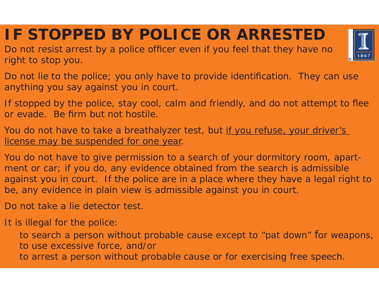**IF STOPPED BY POLICE OR ARRESTED**

Do not resist arrest by a police officer even if you feel that they have no right to stop you.

Do not lie to the police; you only have to provide identification. They can use anything you say against you in court.

If stopped by the police, stay cool, calm and friendly, and do not attempt to flee or evade. Be firm but not hostile.

You do not have to take a breathalyzer test, but if you refuse, your driver's license may be suspended for one year.

You do not have to give permission to a search of your dormitory room, apartment or car; if you do, any evidence obtained from the search is admissible against you in court. If the police are in a place where they have a legal right to be, any evidence in plain view is admissible against you in court.

Do not take a lie detector test.

It is illegal for the police:

to search a person without probable cause except to "pat down" for weapons, to use excessive force, and/or

to arrest a person without probable cause or for exercising free speech.